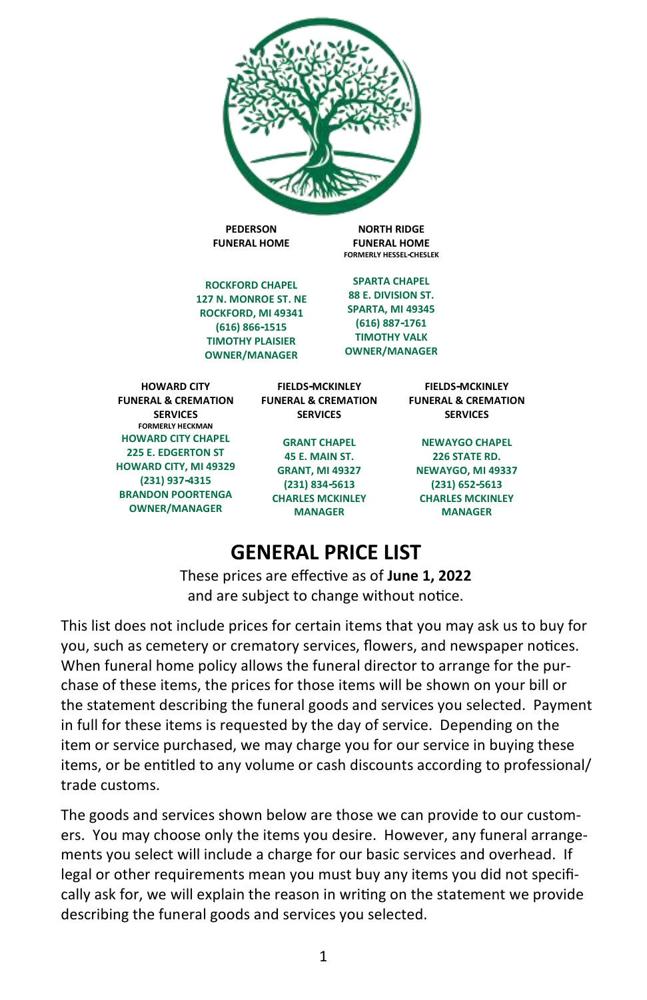

**NEWAYGO, MI 49337 (231) 652-5613 CHARLES MCKINLEY MANAGER**

# **GENERAL PRICE LIST**

**(231) 834-5613 CHARLES MCKINLEY MANAGER**

**(231) 937-4315 BRANDON POORTENGA OWNER/MANAGER**

> These prices are effective as of **June 1, 2022** and are subject to change without notice.

This list does not include prices for certain items that you may ask us to buy for you, such as cemetery or crematory services, flowers, and newspaper notices. When funeral home policy allows the funeral director to arrange for the purchase of these items, the prices for those items will be shown on your bill or the statement describing the funeral goods and services you selected. Payment in full for these items is requested by the day of service. Depending on the item or service purchased, we may charge you for our service in buying these items, or be entitled to any volume or cash discounts according to professional/ trade customs.

The goods and services shown below are those we can provide to our customers. You may choose only the items you desire. However, any funeral arrangements you select will include a charge for our basic services and overhead. If legal or other requirements mean you must buy any items you did not specifically ask for, we will explain the reason in writing on the statement we provide describing the funeral goods and services you selected.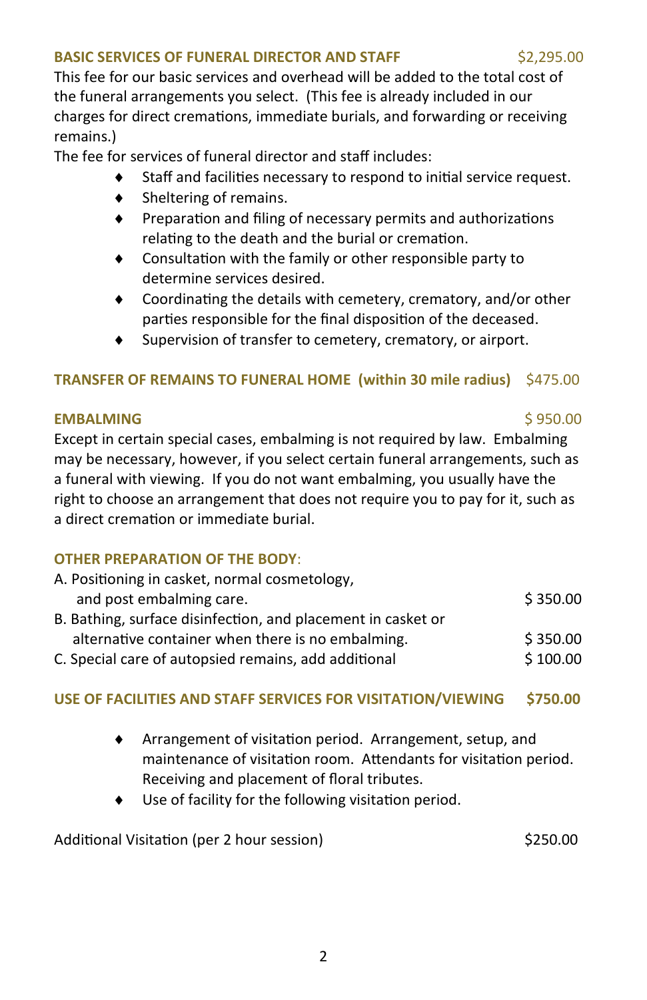### **BASIC SERVICES OF FUNERAL DIRECTOR AND STAFF \$2,295.00**

This fee for our basic services and overhead will be added to the total cost of the funeral arrangements you select. (This fee is already included in our charges for direct cremations, immediate burials, and forwarding or receiving remains.)

The fee for services of funeral director and staff includes:

- Staff and facilities necessary to respond to initial service request.
- $\bullet$  Sheltering of remains.
- $\bullet$  Preparation and filing of necessary permits and authorizations relating to the death and the burial or cremation.
- Consultation with the family or other responsible party to determine services desired.
- Coordinating the details with cemetery, crematory, and/or other parties responsible for the final disposition of the deceased.
- Supervision of transfer to cemetery, crematory, or airport.

## **TRANSFER OF REMAINS TO FUNERAL HOME (within 30 mile radius)** \$475.00

#### **EMBALMING** \$ 950.00

Except in certain special cases, embalming is not required by law. Embalming may be necessary, however, if you select certain funeral arrangements, such as a funeral with viewing. If you do not want embalming, you usually have the right to choose an arrangement that does not require you to pay for it, such as a direct cremation or immediate burial.

# **OTHER PREPARATION OF THE BODY**:

| A. Positioning in casket, normal cosmetology,                |          |
|--------------------------------------------------------------|----------|
| and post embalming care.                                     | \$350.00 |
| B. Bathing, surface disinfection, and placement in casket or |          |
| alternative container when there is no embalming.            | \$350.00 |
| C. Special care of autopsied remains, add additional         | \$100.00 |

### **USE OF FACILITIES AND STAFF SERVICES FOR VISITATION/VIEWING \$750.00**

- Arrangement of visitation period. Arrangement, setup, and maintenance of visitation room. Attendants for visitation period. Receiving and placement of floral tributes.
- Use of facility for the following visitation period.

Additional Visitation (per 2 hour session) 6250.00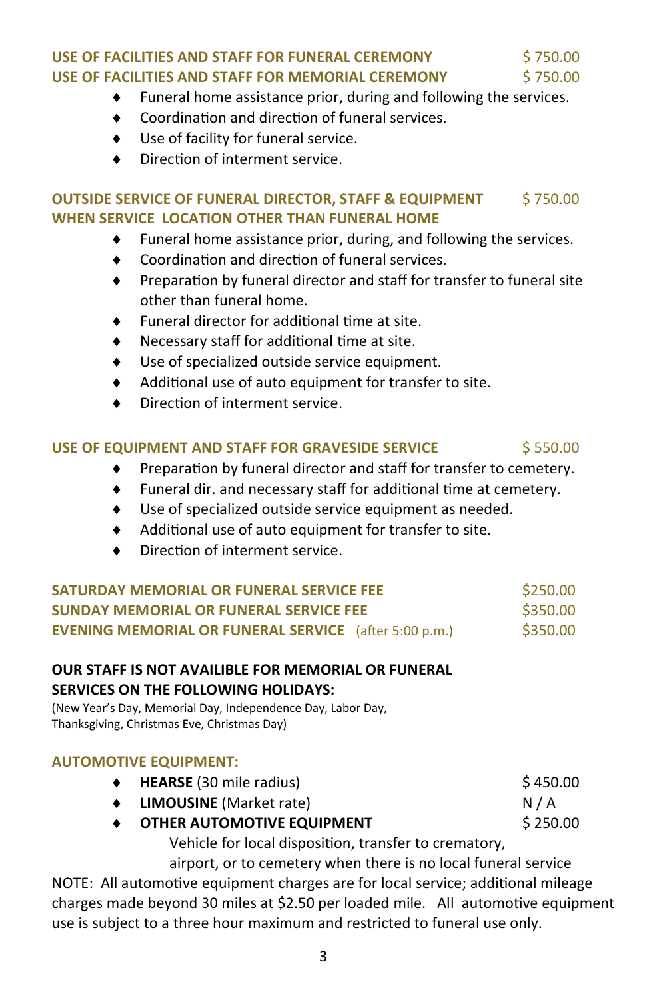# **USE OF FACILITIES AND STAFF FOR FUNERAL CEREMONY** \$750.00 **USE OF FACILITIES AND STAFF FOR MEMORIAL CEREMONY** \$750.00

- Funeral home assistance prior, during and following the services.
- Coordination and direction of funeral services.
- Use of facility for funeral service.
- Direction of interment service.

### **OUTSIDE SERVICE OF FUNERAL DIRECTOR, STAFF & EQUIPMENT \$750.00 WHEN SERVICE LOCATION OTHER THAN FUNERAL HOME**

- Funeral home assistance prior, during, and following the services.
- Coordination and direction of funeral services.
- ◆ Preparation by funeral director and staff for transfer to funeral site other than funeral home.
- Funeral director for additional time at site.
- Necessary staff for additional time at site.
- Use of specialized outside service equipment.
- Additional use of auto equipment for transfer to site.
- Direction of interment service.

### **USE OF EQUIPMENT AND STAFF FOR GRAVESIDE SERVICE \$ 550.00 \$ 550.00**

- Preparation by funeral director and staff for transfer to cemetery.
- Funeral dir. and necessary staff for additional time at cemetery.
- Use of specialized outside service equipment as needed.
- Additional use of auto equipment for transfer to site.
- Direction of interment service.

| SATURDAY MEMORIAL OR FUNERAL SERVICE FEE                     | \$250.00 |
|--------------------------------------------------------------|----------|
| SUNDAY MEMORIAL OR FUNERAL SERVICE FEE                       | \$350.00 |
| <b>EVENING MEMORIAL OR FUNERAL SERVICE</b> (after 5:00 p.m.) | \$350.00 |

#### **OUR STAFF IS NOT AVAILIBLE FOR MEMORIAL OR FUNERAL SERVICES ON THE FOLLOWING HOLIDAYS:**

(New Year's Day, Memorial Day, Independence Day, Labor Day, Thanksgiving, Christmas Eve, Christmas Day)

#### **AUTOMOTIVE EQUIPMENT:**

- ◆ HEARSE (30 mile radius) **\$ 450.00**
- ◆ LIMOUSINE (Market rate) N / A
- ◆ OTHER AUTOMOTIVE EQUIPMENT **bigger and S250.00** Vehicle for local disposition, transfer to crematory,

airport, or to cemetery when there is no local funeral service NOTE: All automotive equipment charges are for local service; additional mileage charges made beyond 30 miles at \$2.50 per loaded mile. All automotive equipment use is subject to a three hour maximum and restricted to funeral use only.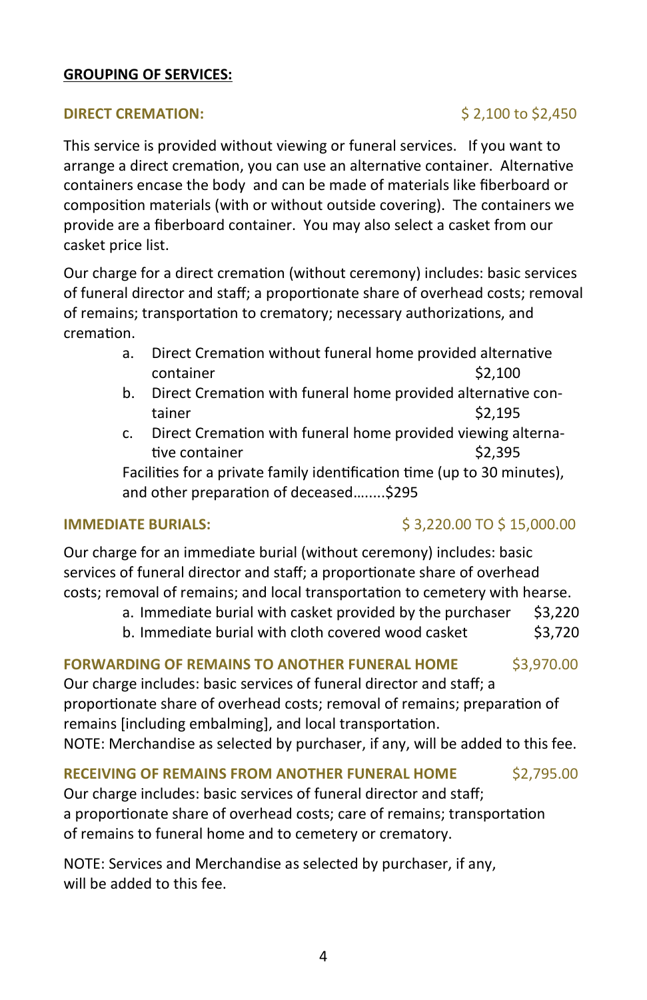#### **GROUPING OF SERVICES:**

#### **DIRECT CREMATION:**  $\qquad \qquad$  \$ 2,100 to \$2,450

This service is provided without viewing or funeral services. If you want to arrange a direct cremation, you can use an alternative container. Alternative containers encase the body and can be made of materials like fiberboard or composition materials (with or without outside covering). The containers we provide are a fiberboard container. You may also select a casket from our casket price list.

Our charge for a direct cremation (without ceremony) includes: basic services of funeral director and staff; a proportionate share of overhead costs; removal of remains; transportation to crematory; necessary authorizations, and cremation.

- a. Direct Cremation without funeral home provided alternative container \$2,100
- b. Direct Cremation with funeral home provided alternative container  $\sim$  \$2,195
- c. Direct Cremation with funeral home provided viewing alternative container  $\sim$  \$2,395

Facilities for a private family identification time (up to 30 minutes), and other preparation of deceased….....\$295

### **IMMEDIATE BURIALS:**  $$3,220.00$  TO \$15,000.00

Our charge for an immediate burial (without ceremony) includes: basic services of funeral director and staff; a proportionate share of overhead costs; removal of remains; and local transportation to cemetery with hearse.

- a. Immediate burial with casket provided by the purchaser  $$3,220$
- b. Immediate burial with cloth covered wood casket \$3,720

# **FORWARDING OF REMAINS TO ANOTHER FUNERAL HOME** \$3,970.00

Our charge includes: basic services of funeral director and staff; a proportionate share of overhead costs; removal of remains; preparation of remains [including embalming], and local transportation. NOTE: Merchandise as selected by purchaser, if any, will be added to this fee.

#### **RECEIVING OF REMAINS FROM ANOTHER FUNERAL HOME** \$2,795.00

Our charge includes: basic services of funeral director and staff; a proportionate share of overhead costs; care of remains; transportation of remains to funeral home and to cemetery or crematory.

NOTE: Services and Merchandise as selected by purchaser, if any, will be added to this fee.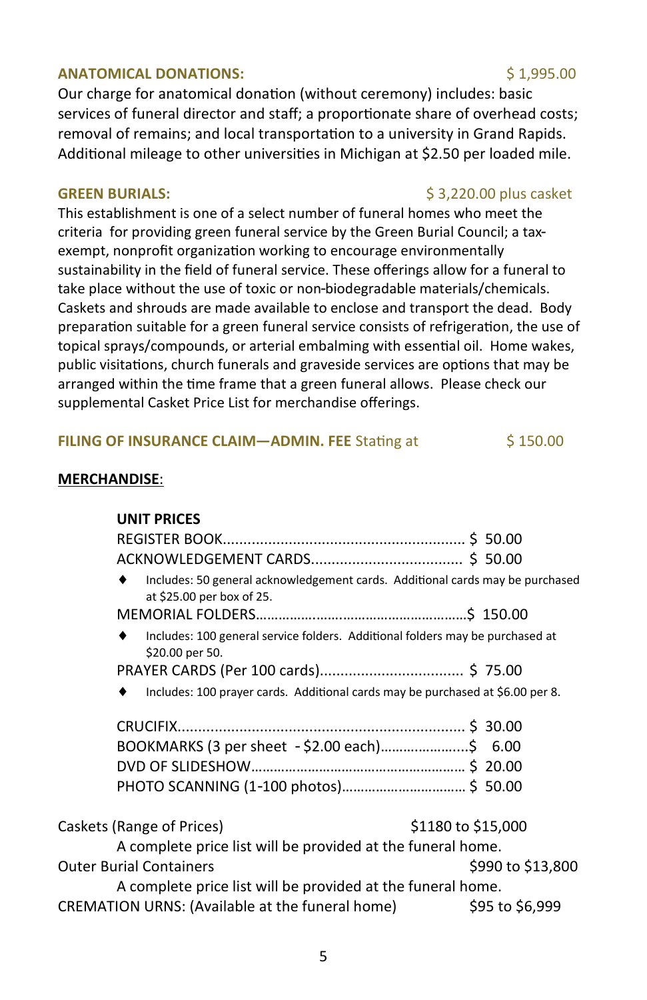### **ANATOMICAL DONATIONS:**  $\begin{array}{ccc} 1,995.00 & \text{if } 1,995.00 \\ \text{if } \mathbf{0} & \text{if } 1,995.00 \end{array}$

Our charge for anatomical donation (without ceremony) includes: basic services of funeral director and staff; a proportionate share of overhead costs; removal of remains; and local transportation to a university in Grand Rapids. Additional mileage to other universities in Michigan at \$2.50 per loaded mile.

This establishment is one of a select number of funeral homes who meet the criteria for providing green funeral service by the Green Burial Council; a taxexempt, nonprofit organization working to encourage environmentally sustainability in the field of funeral service. These offerings allow for a funeral to take place without the use of toxic or non-biodegradable materials/chemicals. Caskets and shrouds are made available to enclose and transport the dead. Body preparation suitable for a green funeral service consists of refrigeration, the use of topical sprays/compounds, or arterial embalming with essential oil. Home wakes, public visitations, church funerals and graveside services are options that may be arranged within the time frame that a green funeral allows. Please check our supplemental Casket Price List for merchandise offerings.

#### **FILING OF INSURANCE CLAIM-ADMIN. FEE** Stating at \$150.00

#### **MERCHANDISE**:

**UNIT PRICES**

#### **GREEN BURIALS:** \$ 3,220.00 plus casket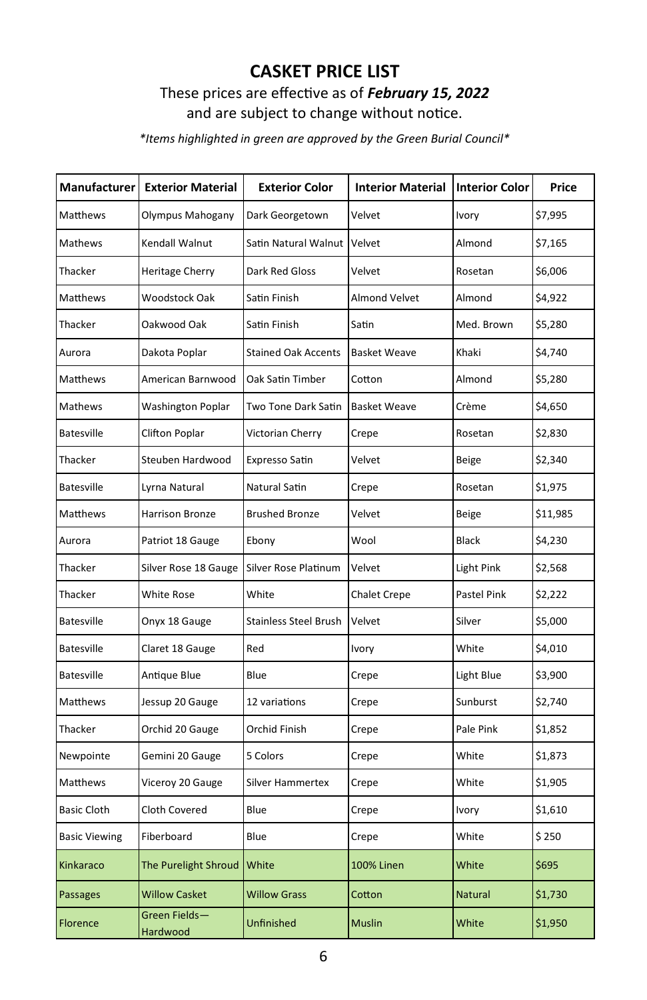# **CASKET PRICE LIST**

# These prices are effective as of *February 15, 2022* and are subject to change without notice.

*\*Items highlighted in green are approved by the Green Burial Council\**

| Manufacturer         | <b>Exterior Material</b>  | <b>Exterior Color</b>        | <b>Interior Material</b> | <b>Interior Color</b> | Price    |
|----------------------|---------------------------|------------------------------|--------------------------|-----------------------|----------|
| Matthews             | Olympus Mahogany          | Dark Georgetown              | Velvet                   | Ivory                 | \$7,995  |
| Mathews              | Kendall Walnut            | Satin Natural Walnut         | Velvet                   | Almond                | \$7,165  |
| Thacker              | Heritage Cherry           | Dark Red Gloss               | Velvet                   | Rosetan               | \$6,006  |
| Matthews             | Woodstock Oak             | Satin Finish                 | Almond Velvet            | Almond                | \$4,922  |
| Thacker              | Oakwood Oak               | Satin Finish                 | Satin                    | Med. Brown            | \$5,280  |
| Aurora               | Dakota Poplar             | <b>Stained Oak Accents</b>   | <b>Basket Weave</b>      | Khaki                 | \$4,740  |
| Matthews             | American Barnwood         | Oak Satin Timber             | Cotton                   | Almond                | \$5,280  |
| Mathews              | Washington Poplar         | Two Tone Dark Satin          | <b>Basket Weave</b>      | Crème                 | \$4,650  |
| Batesville           | <b>Clifton Poplar</b>     | Victorian Cherry             | Crepe                    | Rosetan               | \$2,830  |
| Thacker              | Steuben Hardwood          | Expresso Satin               | Velvet                   | Beige                 | \$2,340  |
| Batesville           | Lyrna Natural             | Natural Satin                | Crepe                    | Rosetan               | \$1,975  |
| Matthews             | Harrison Bronze           | <b>Brushed Bronze</b>        | Velvet                   | <b>Beige</b>          | \$11,985 |
| Aurora               | Patriot 18 Gauge          | Ebony                        | Wool                     | Black                 | \$4,230  |
| Thacker              | Silver Rose 18 Gauge      | Silver Rose Platinum         | Velvet                   | Light Pink            | \$2,568  |
| Thacker              | White Rose                | White                        | <b>Chalet Crepe</b>      | Pastel Pink           | \$2,222  |
| Batesville           | Onyx 18 Gauge             | <b>Stainless Steel Brush</b> | Velvet                   | Silver                | \$5,000  |
| Batesville           | Claret 18 Gauge           | Red                          | Ivory                    | White                 | \$4,010  |
| <b>Batesville</b>    | Antique Blue              | Blue                         | Crepe                    | Light Blue            | \$3,900  |
| Matthews             | Jessup 20 Gauge           | 12 variations                | Crepe                    | Sunburst              | \$2,740  |
| Thacker              | Orchid 20 Gauge           | Orchid Finish                | Crepe                    | Pale Pink             | \$1,852  |
| Newpointe            | Gemini 20 Gauge           | 5 Colors                     | Crepe                    | White                 | \$1,873  |
| Matthews             | Viceroy 20 Gauge          | Silver Hammertex             | Crepe                    | White                 | \$1,905  |
| <b>Basic Cloth</b>   | Cloth Covered             | Blue                         | Crepe                    | Ivory                 | \$1,610  |
| <b>Basic Viewing</b> | Fiberboard                | Blue                         | Crepe                    | White                 | \$250    |
| Kinkaraco            | The Purelight Shroud      | White                        | 100% Linen               | White                 | \$695    |
| Passages             | <b>Willow Casket</b>      | <b>Willow Grass</b>          | Cotton                   | Natural               | \$1,730  |
| Florence             | Green Fields-<br>Hardwood | Unfinished                   | <b>Muslin</b>            | White                 | \$1,950  |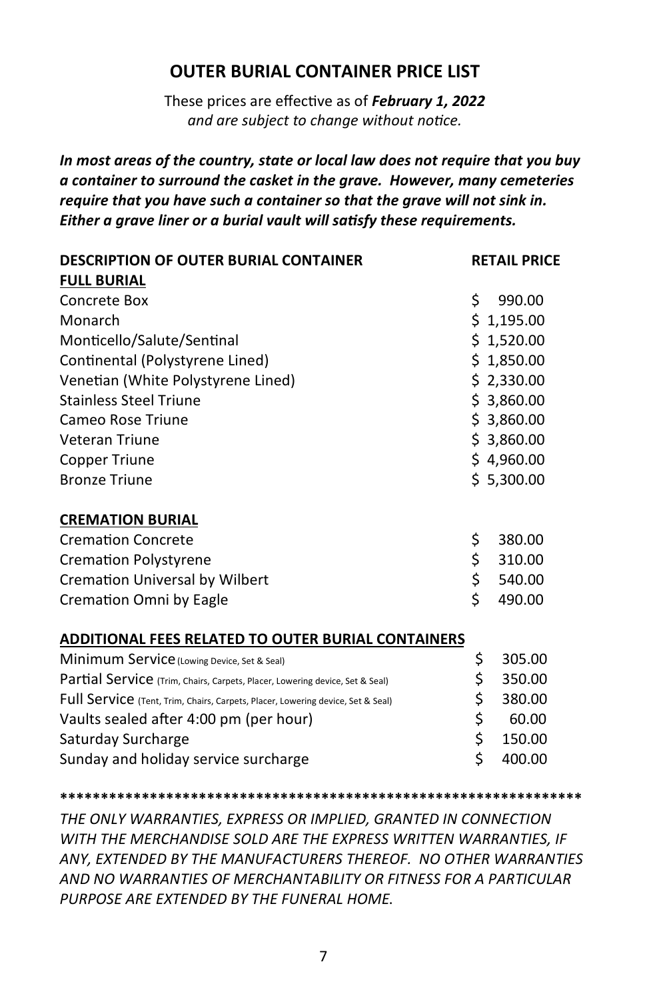# **OUTER BURIAL CONTAINER PRICE LIST**

These prices are effective as of *February 1, 2022 and are subject to change without notice.*

*In most areas of the country, state or local law does not require that you buy a container to surround the casket in the grave. However, many cemeteries require that you have such a container so that the grave will not sink in. Either a grave liner or a burial vault will satisfy these requirements.*

| <b>DESCRIPTION OF OUTER BURIAL CONTAINER</b>                                    |    | <b>RETAIL PRICE</b> |  |
|---------------------------------------------------------------------------------|----|---------------------|--|
| <b>FULL BURIAL</b>                                                              |    |                     |  |
| Concrete Box                                                                    | \$ | 990.00              |  |
| Monarch                                                                         |    | \$1,195.00          |  |
| Monticello/Salute/Sentinal                                                      |    | \$1,520.00          |  |
| Continental (Polystyrene Lined)                                                 |    | \$1,850.00          |  |
| Venetian (White Polystyrene Lined)                                              |    | \$2,330.00          |  |
| <b>Stainless Steel Triune</b>                                                   |    | \$3,860.00          |  |
| Cameo Rose Triune                                                               |    | \$3,860.00          |  |
| <b>Veteran Triune</b>                                                           |    | \$3,860.00          |  |
| Copper Triune                                                                   |    | \$4,960.00          |  |
| <b>Bronze Triune</b>                                                            |    | \$5,300.00          |  |
| <b>CREMATION BURIAL</b>                                                         |    |                     |  |
| <b>Cremation Concrete</b>                                                       | \$ | 380.00              |  |
| <b>Cremation Polystyrene</b>                                                    | \$ | 310.00              |  |
| <b>Cremation Universal by Wilbert</b>                                           | \$ | 540.00              |  |
| Cremation Omni by Eagle                                                         | \$ | 490.00              |  |
| <b>ADDITIONAL FEES RELATED TO OUTER BURIAL CONTAINERS</b>                       |    |                     |  |
| Minimum Service (Lowing Device, Set & Seal)                                     | \$ | 305.00              |  |
| Partial Service (Trim, Chairs, Carpets, Placer, Lowering device, Set & Seal)    | \$ | 350.00              |  |
| Full Service (Tent, Trim, Chairs, Carpets, Placer, Lowering device, Set & Seal) | \$ | 380.00              |  |
| Vaults sealed after 4:00 pm (per hour)                                          | \$ | 60.00               |  |
| Saturday Surcharge                                                              | \$ | 150.00              |  |
| Sunday and holiday service surcharge                                            | \$ | 400.00              |  |

**\*\*\*\*\*\*\*\*\*\*\*\*\*\*\*\*\*\*\*\*\*\*\*\*\*\*\*\*\*\*\*\*\*\*\*\*\*\*\*\*\*\*\*\*\*\*\*\*\*\*\*\*\*\*\*\*\*\*\*\*\*\*\*\***

*THE ONLY WARRANTIES, EXPRESS OR IMPLIED, GRANTED IN CONNECTION WITH THE MERCHANDISE SOLD ARE THE EXPRESS WRITTEN WARRANTIES, IF ANY, EXTENDED BY THE MANUFACTURERS THEREOF. NO OTHER WARRANTIES AND NO WARRANTIES OF MERCHANTABILITY OR FITNESS FOR A PARTICULAR PURPOSE ARE EXTENDED BY THE FUNERAL HOME*.